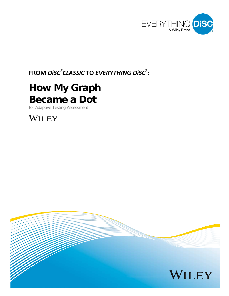

# **FROM** *DiSC ® CLASSIC* **TO** *EVERYTHING DiSC* **® :**

# **How My Graph Became a Dot**

for Adaptive Testing Assessment

WILEY

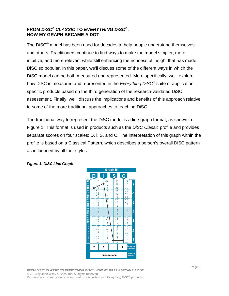# **FROM** *DiSC***®** *CLASSIC* **TO** *EVERYTHING DiSC***®: HOW MY GRAPH BECAME A DOT**

The DiSC® model has been used for decades to help people understand themselves and others. Practitioners continue to find ways to make the model simpler, more intuitive, and more relevant while still enhancing the richness of insight that has made DiSC so popular. In this paper, we'll discuss some of the different ways in which the DiSC model can be both measured and represented. More specifically, we'll explore how DiSC is measured and represented in the *Everything DiSC*® suite of applicationspecific products based on the third generation of the research-validated DiSC assessment. Finally, we'll discuss the implications and benefits of this approach relative to some of the more traditional approaches to teaching DiSC.

The traditional way to represent the DiSC model is a line-graph format, as shown in Figure 1. This format is used in products such as the *DiSC Classic* profile and provides separate scores on four scales: D, i, S, and C. The interpretation of this graph within the profile is based on a Classical Pattern, which describes a person's overall DiSC pattern as influenced by all four styles.



#### *Figure 1. DiSC Line Graph*

**FROM** *DiSC***®** *CLASSIC* **TO** *EVERYTHING DISC***® : HOW MY GRAPH BECAME A DOT** © 2013 by John Wiley & Sons, Inc. All rights reserved. Permission to reproduce only when used in conjunction with *Everything DiSC***®** products.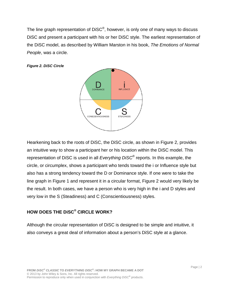The line graph representation of DiSC®, however, is only one of many ways to discuss DiSC and present a participant with his or her DiSC style. The earliest representation of the DiSC model, as described by William Marston in his book, *The Emotions of Normal People*, was a circle.





Hearkening back to the roots of DiSC, the DiSC circle, as shown in Figure 2, provides an intuitive way to show a participant her or his location within the DiSC model. This representation of DiSC is used in all *Everything DiSC*® reports. In this example, the circle, or circumplex, shows a participant who tends toward the i or Influence style but also has a strong tendency toward the D or Dominance style. If one were to take the line graph in Figure 1 and represent it in a circular format, Figure 2 would very likely be the result. In both cases, we have a person who is very high in the i and D styles and very low in the S (Steadiness) and C (Conscientiousness) styles.

# **HOW DOES THE DiSC® CIRCLE WORK?**

Although the circular representation of DiSC is designed to be simple and intuitive, it also conveys a great deal of information about a person's DiSC style at a glance.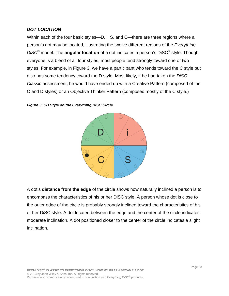#### *DOT LOCATION*

Within each of the four basic styles—D, i, S, and C—there are three regions where a person's dot may be located, illustrating the twelve different regions of the *Everything DiSC*® model. The **angular location** of a dot indicates a person's DiSC® style. Though everyone is a blend of all four styles, most people tend strongly toward one or two styles. For example, in Figure 3, we have a participant who tends toward the C style but also has some tendency toward the D style. Most likely, if he had taken the *DiSC Classic* assessment, he would have ended up with a Creative Pattern (composed of the C and D styles) or an Objective Thinker Pattern (composed mostly of the C style.)





A dot's **distance from the edge** of the circle shows how naturally inclined a person is to encompass the characteristics of his or her DiSC style. A person whose dot is close to the outer edge of the circle is probably strongly inclined toward the characteristics of his or her DiSC style. A dot located between the edge and the center of the circle indicates moderate inclination. A dot positioned closer to the center of the circle indicates a slight inclination.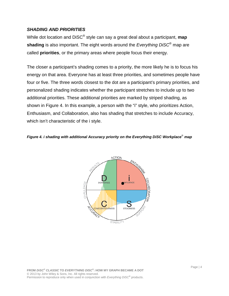#### *SHADING AND PRIORITIES*

While dot location and DiSC® style can say a great deal about a participant, **map shading** is also important. The eight words around the *Everything DiSC*® map are called **priorities**, or the primary areas where people focus their energy.

The closer a participant's shading comes to a priority, the more likely he is to focus his energy on that area. Everyone has at least three priorities, and sometimes people have four or five. The three words closest to the dot are a participant's primary priorities, and personalized shading indicates whether the participant stretches to include up to two additional priorities. These additional priorities are marked by striped shading, as shown in Figure 4. In this example, a person with the "i" style, who prioritizes Action, Enthusiasm, and Collaboration, also has shading that stretches to include Accuracy, which isn't characteristic of the i style.

#### *Figure 4. i shading with additional Accuracy priority on the Everything DiSC Workplace*® *map*

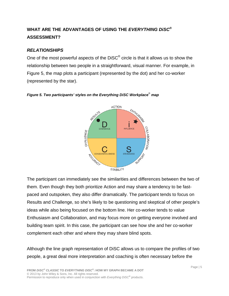# **WHAT ARE THE ADVANTAGES OF USING THE** *EVERYTHING DiSC***® ASSESSMENT?**

### *RELATIONSHIPS*

One of the most powerful aspects of the  $DISC^{\circledcirc}$  circle is that it allows us to show the relationship between two people in a straightforward, visual manner. For example, in Figure 5, the map plots a participant (represented by the dot) and her co-worker (represented by the star).



#### *Figure 5. Two participants' styles on the Everything DiSC Workplace*® *map*

The participant can immediately see the similarities and differences between the two of them. Even though they both prioritize Action and may share a tendency to be fastpaced and outspoken, they also differ dramatically. The participant tends to focus on Results and Challenge, so she's likely to be questioning and skeptical of other people's ideas while also being focused on the bottom line. Her co-worker tends to value Enthusiasm and Collaboration, and may focus more on getting everyone involved and building team spirit. In this case, the participant can see how she and her co-worker complement each other and where they may share blind spots.

Although the line graph representation of DiSC allows us to compare the profiles of two people, a great deal more interpretation and coaching is often necessary before the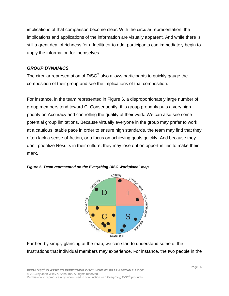implications of that comparison become clear. With the circular representation, the implications and applications of the information are visually apparent. And while there is still a great deal of richness for a facilitator to add, participants can immediately begin to apply the information for themselves.

#### *GROUP DYNAMICS*

The circular representation of DiSC<sup>®</sup> also allows participants to quickly gauge the composition of their group and see the implications of that composition.

For instance, in the team represented in Figure 6, a disproportionately large number of group members tend toward C. Consequently, this group probably puts a very high priority on Accuracy and controlling the quality of their work. We can also see some potential group limitations. Because virtually everyone in the group may prefer to work at a cautious, stable pace in order to ensure high standards, the team may find that they often lack a sense of Action, or a focus on achieving goals quickly. And because they don't prioritize Results in their culture, they may lose out on opportunities to make their mark.



*Figure 6. Team represented on the Everything DiSC Workplace*® *map*

Further, by simply glancing at the map, we can start to understand some of the frustrations that individual members may experience. For instance, the two people in the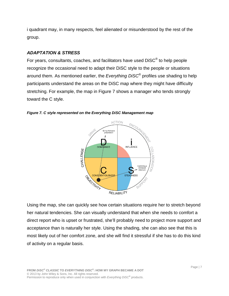i quadrant may, in many respects, feel alienated or misunderstood by the rest of the group.

#### *ADAPTATION & STRESS*

For years, consultants, coaches, and facilitators have used DiSC® to help people recognize the occasional need to adapt their DiSC style to the people or situations around them. As mentioned earlier, the *Everything DiSC*® profiles use shading to help participants understand the areas on the DiSC map where they might have difficulty stretching. For example, the map in Figure 7 shows a manager who tends strongly toward the C style.



*Figure 7. C style represented on the Everything DiSC Management map*

Using the map, she can quickly see how certain situations require her to stretch beyond her natural tendencies. She can visually understand that when she needs to comfort a direct report who is upset or frustrated, she'll probably need to project more support and acceptance than is naturally her style. Using the shading, she can also see that this is most likely out of her comfort zone, and she will find it stressful if she has to do this kind of activity on a regular basis.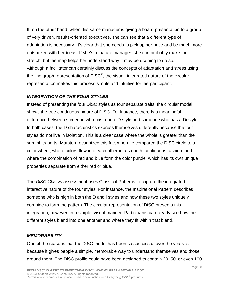If, on the other hand, when this same manager is giving a board presentation to a group of very driven, results-oriented executives, she can see that a different type of adaptation is necessary. It's clear that she needs to pick up her pace and be much more outspoken with her ideas. If she's a mature manager, she can probably make the stretch, but the map helps her understand why it may be draining to do so. Although a facilitator can certainly discuss the concepts of adaptation and stress using the line graph representation of DiSC®, the visual, integrated nature of the circular representation makes this process simple and intuitive for the participant.

# *INTEGRATION OF THE FOUR STYLES*

Instead of presenting the four DiSC styles as four separate traits, the circular model shows the true continuous nature of DiSC. For instance, there is a meaningful difference between someone who has a pure D style and someone who has a Di style. In both cases, the D characteristics express themselves differently because the four styles do not live in isolation. This is a clear case where the whole is greater than the sum of its parts. Marston recognized this fact when he compared the DiSC circle to a color wheel, where colors flow into each other in a smooth, continuous fashion, and where the combination of red and blue form the color purple, which has its own unique properties separate from either red or blue.

The *DiSC Classic* assessment uses Classical Patterns to capture the integrated, interactive nature of the four styles. For instance, the Inspirational Pattern describes someone who is high in both the D and i styles and how these two styles uniquely combine to form the pattern. The circular representation of DiSC presents this integration, however, in a simple, visual manner. Participants can clearly see how the different styles blend into one another and where they fit within that blend.

# *MEMORABILITY*

One of the reasons that the DiSC model has been so successful over the years is because it gives people a simple, memorable way to understand themselves and those around them. The DiSC profile could have been designed to contain 20, 50, or even 100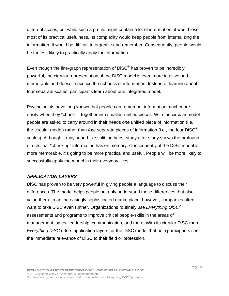different scales, but while such a profile might contain a lot of information, it would lose most of its practical usefulness. Its complexity would keep people from internalizing the information. It would be difficult to organize and remember. Consequently, people would be far less likely to practically apply the information.

Even though the line-graph representation of DiSC<sup>®</sup> has proven to be incredibly powerful, the circular representation of the DiSC model is even more intuitive and memorable and doesn't sacrifice the richness of information. Instead of learning about four separate scales, participants learn about one integrated model.

Psychologists have long known that people can remember information much more easily when they "chunk" it together into smaller, unified pieces. With the circular model people are asked to carry around in their heads *one* unified piece of information (i.e., the circular model) rather than *four* separate pieces of information (i.e., the four DiSC® scales). Although it may sound like splitting hairs, study after study shows the profound effects that "chunking" information has on memory. Consequently, if the DiSC model is more memorable, it's going to be more practical and useful. People will be more likely to successfully apply the model in their everyday lives.

#### *APPLICATION LAYERS*

DiSC has proven to be very powerful in giving people a language to discuss their differences. The model helps people not only understand those differences, but also value them. In an increasingly sophisticated marketplace, however, companies often want to take DiSC even further. Organizations routinely use *Everything DiSC*® assessments and programs to improve critical people-skills in the areas of management, sales, leadership, communication, and more. With its circular DiSC map, *Everything DiSC* offers application layers for the DiSC model that help participants see the immediate relevance of DiSC to their field or profession.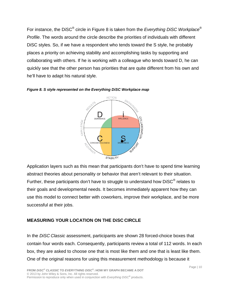For instance, the DiSC® circle in Figure 8 is taken from the *Everything DiSC Workplace*® *Profile*. The words around the circle describe the priorities of individuals with different DiSC styles. So, if we have a respondent who tends toward the S style, he probably places a priority on achieving stability and accomplishing tasks by supporting and collaborating with others. If he is working with a colleague who tends toward D, he can quickly see that the other person has priorities that are quite different from his own and he'll have to adapt his natural style.



*Figure 8. S style represented on the Everything DiSC Workplace map*

Application layers such as this mean that participants don't have to spend time learning abstract theories about personality or behavior that aren't relevant to their situation. Further, these participants don't have to struggle to understand how DiSC<sup>®</sup> relates to their goals and developmental needs. It becomes immediately apparent how they can use this model to connect better with coworkers, improve their workplace, and be more successful at their jobs.

# **MEASURING YOUR LOCATION ON THE DiSC CIRCLE**

In the *DiSC Classic* assessment, participants are shown 28 forced-choice boxes that contain four words each. Consequently, participants review a total of 112 words. In each box, they are asked to choose one that is most like them and one that is least like them. One of the original reasons for using this measurement methodology is because it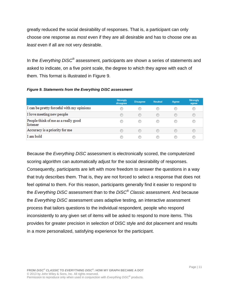greatly reduced the social desirability of responses. That is, a participant can only choose one response as *most* even if they are all desirable and has to choose one as *least* even if all are not very desirable.

In the *Everything DiSC*® assessment, participants are shown a series of statements and asked to indicate, on a five point scale, the degree to which they agree with each of them. This format is illustrated in Figure 9.

| <b>Figure 9. Statements from the Everything DiSC assessment</b> |  |  |
|-----------------------------------------------------------------|--|--|
|                                                                 |  |  |

|                                                 | <b>Strongly</b><br>disagree | <b>Disagree</b> | <b>Neutral</b> | Agree | <b>Strongly</b><br>agree |
|-------------------------------------------------|-----------------------------|-----------------|----------------|-------|--------------------------|
| I can be pretty forceful with my opinions       |                             |                 |                |       |                          |
| I love meeting new people                       |                             | $\circ$         |                |       |                          |
| People think of me as a really good<br>listener |                             |                 |                |       |                          |
| Accuracy is a priority for me                   |                             |                 |                |       |                          |
| I am bold                                       |                             |                 |                |       |                          |

Because the *Everything DiSC* assessment is electronically scored, the computerized scoring algorithm can automatically adjust for the social desirability of responses. Consequently, participants are left with more freedom to answer the questions in a way that truly describes them. That is, they are not forced to select a response that does not feel optimal to them. For this reason, participants generally find it easier to respond to the *Everything DiSC* assessment than to the *DiSC*® *Classic* assessment. And because the *Everything DiSC* assessment uses adaptive testing, an interactive assessment process that tailors questions to the individual respondent, people who respond inconsistently to any given set of items will be asked to respond to more items. This provides for greater precision in selection of DiSC style and dot placement and results in a more personalized, satisfying experience for the participant.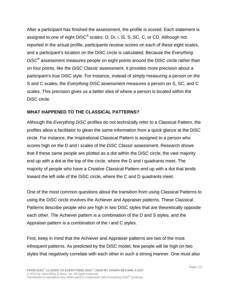After a participant has finished the assessment, the profile is scored. Each statement is assigned to one of eight DiSC® scales: D, Di, i, iS, S, SC, C, or CD. Although not reported in the actual profile, participants receive scores on each of these eight scales, and a participant's location on the DiSC circle is calculated. Because the *Everything DiSC*® assessment measures people on eight points around the DiSC circle rather than on four points, like the *DiSC Classic* assessment, it provides more precision about a participant's true DiSC style. For instance, instead of simply measuring a person on the S and C scales, the *Everything DiSC* assessment measures a person on S, SC, and C scales. This precision gives us a better idea of where a person is located within the DiSC circle.

# **WHAT HAPPENED TO THE CLASSICAL PATTERNS?**

Although the *Everything DiSC* profiles do not technically refer to a Classical Pattern, the profiles allow a facilitator to glean the same information from a quick glance at the DiSC circle. For instance, the Inspirational Classical Pattern is assigned to a person who scores high on the D and i scales of the *DiSC Classic* assessment. Research shows that if these same people are plotted as a dot within the DiSC circle, the vast majority end up with a dot at the top of the circle, where the D and i quadrants meet. The majority of people who have a Creative Classical Pattern end up with a dot that tends toward the left side of the DiSC circle, where the C and D quadrants meet.

One of the most common questions about the transition from using Classical Patterns to using the DiSC circle involves the Achiever and Appraiser patterns. These Classical Patterns describe people who are high in two DiSC styles that are theoretically opposite each other. The Achiever pattern is a combination of the D and S styles, and the Appraiser pattern is a combination of the i and C styles.

First, keep in mind that the Achiever and Appraiser patterns are two of the most infrequent patterns. As predicted by the DiSC model, few people will be high on two styles that negatively correlate with each other in such a strong manner. One must also